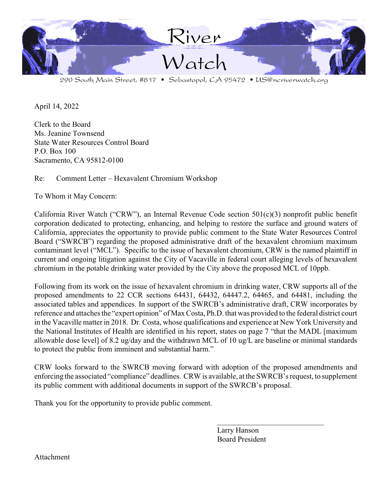

290 South Main Street, #817 • Sebastopol, CA 95472 • US@ncriverwatch.org

April 14, 2022

Clerk to the Board Ms. Jeanine Townsend State Water Resources Control Board P.O. Box 100 Sacramento, CA 95812-0100

Re: Comment Letter – Hexavalent Chromium Workshop

To Whom it May Concern:

California River Watch ("CRW"), an Internal Revenue Code section 501(c)(3) nonprofit public benefit corporation dedicated to protecting, enhancing, and helping to restore the surface and ground waters of California, appreciates the opportunity to provide public comment to the State Water Resources Control Board ("SWRCB") regarding the proposed administrative draft of the hexavalent chromium maximum contaminant level ("MCL"). Specific to the issue of hexavalent chromium, CRW is the named plaintiff in current and ongoing litigation against the City of Vacaville in federal court alleging levels of hexavalent chromium in the potable drinking water provided by the City above the proposed MCL of 10ppb.

Following from its work on the issue of hexavalent chromium in drinking water, CRW supports all of the proposed amendments to 22 CCR sections 64431, 64432, 64447.2, 64465, and 64481, including the associated tables and appendices. In support of the SWRCB's administrative draft, CRW incorporates by reference and attaches the "expert opinion" of MaxCosta, Ph.D. that was provided to the federal district court in the Vacaville matter in 2018. Dr. Costa, whose qualifications and experience at New York University and the National Institutes of Health are identified in his report, states on page 7 "that the MADL [maximum allowable dose level] of 8.2 ug/day and the withdrawn MCL of 10 ug/L are baseline or minimal standards to protect the public from imminent and substantial harm."

CRW looks forward to the SWRCB moving forward with adoption of the proposed amendments and enforcing the associated "compliance" deadlines. CRW is available, at the SWRCB's request, to supplement its public comment with additional documents in support of the SWRCB's proposal.

Thank you for the opportunity to provide public comment.

Larry Hanson Board President

\_\_\_\_\_\_\_\_\_\_\_\_\_\_\_\_\_\_\_\_\_\_\_\_\_\_\_\_

Attachment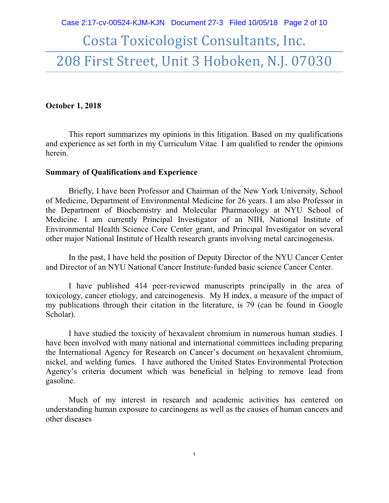# Costa Toxicologist Consultants, Inc. 208 First Street, Unit 3 Hoboken, N.J. 07030

#### **October 1, 2018**

This report summarizes my opinions in this litigation. Based on my qualifications and experience as set forth in my Curriculum Vitae. I am qualified to render the opinions herein.

#### **Summary of Qualifications and Experience**

Briefly, I have been Professor and Chairman of the New York University, School of Medicine, Department of Environmental Medicine for 26 years. I am also Professor in the Department of Biochemistry and Molecular Pharmacology at NYU School of Medicine. I am currently Principal Investigator of an NIH, National Institute of Environmental Health Science Core Center grant, and Principal Investigator on several other major National Institute of Health research grants involving metal carcinogenesis.

In the past, I have held the position of Deputy Director of the NYU Cancer Center and Director of an NYU National Cancer Institute-funded basic science Cancer Center.

I have published 414 peer-reviewed manuscripts principally in the area of toxicology, cancer etiology, and carcinogenesis. My H index, a measure of the impact of my publications through their citation in the literature, is 79 (can be found in Google Scholar).

I have studied the toxicity of hexavalent chromium in numerous human studies. I have been involved with many national and international committees including preparing the International Agency for Research on Cancer's document on hexavalent chromium, nickel, and welding fumes. I have authored the United States Environmental Protection Agency's criteria document which was beneficial in helping to remove lead from gasoline.

Much of my interest in research and academic activities has centered on understanding human exposure to carcinogens as well as the causes of human cancers and other diseases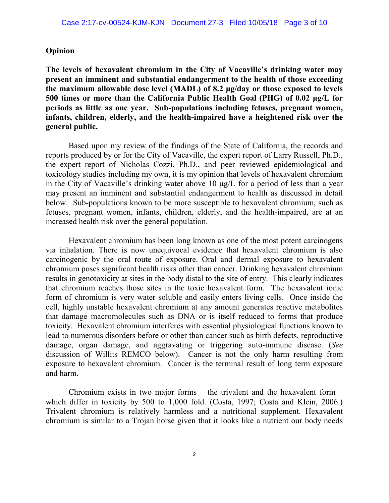#### **Opinion**

**The levels of hexavalent chromium in the City of Vacaville's drinking water may present an imminent and substantial endangerment to the health of those exceeding** the maximum allowable dose level (MADL) of 8.2  $\mu$ g/day or those exposed to levels 500 times or more than the California Public Health Goal (PHG) of 0.02  $\mu$ g/L for **periods as little as one year. Sub-populations including fetuses, pregnant women, infants, children, elderly, and the health-impaired have a heightened risk over the general public.**

Based upon my review of the findings of the State of California, the records and reports produced by or for the City of Vacaville, the expert report of Larry Russell, Ph.D., the expert report of Nicholas Cozzi, Ph.D., and peer reviewed epidemiological and toxicology studies including my own, it is my opinion that levels of hexavalent chromium in the City of Vacaville's drinking water above 10  $\mu$ g/L for a period of less than a year may present an imminent and substantial endangerment to health as discussed in detail below. Sub-populations known to be more susceptible to hexavalent chromium, such as fetuses, pregnant women, infants, children, elderly, and the health-impaired, are at an increased health risk over the general population.

Hexavalent chromium has been long known as one of the most potent carcinogens via inhalation. There is now unequivocal evidence that hexavalent chromium is also carcinogenic by the oral route of exposure. Oral and dermal exposure to hexavalent chromium poses significant health risks other than cancer. Drinking hexavalent chromium results in genotoxicity at sites in the body distal to the site of entry. This clearly indicates that chromium reaches those sites in the toxic hexavalent form. The hexavalent ionic form of chromium is very water soluble and easily enters living cells. Once inside the cell, highly unstable hexavalent chromium at any amount generates reactive metabolites that damage macromolecules such as DNA or is itself reduced to forms that produce toxicity. Hexavalent chromium interferes with essential physiological functions known to lead to numerous disorders before or other than cancer such as birth defects, reproductive damage, organ damage, and aggravating or triggering auto-immune disease. (*See* discussion of Willits REMCO below). Cancer is not the only harm resulting from exposure to hexavalent chromium. Cancer is the terminal result of long term exposure and harm.

Chromium exists in two major forms the trivalent and the hexavalent form which differ in toxicity by 500 to 1,000 fold. (Costa, 1997; Costa and Klein, 2006.) Trivalent chromium is relatively harmless and a nutritional supplement. Hexavalent chromium is similar to a Trojan horse given that it looks like a nutrient our body needs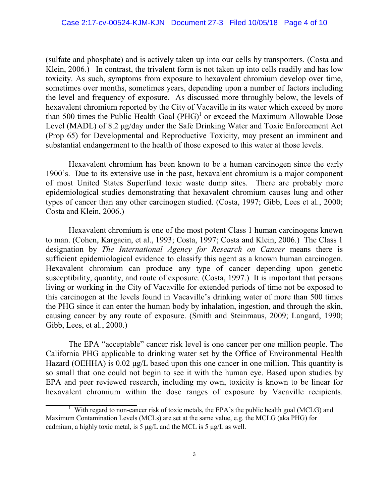(sulfate and phosphate) and is actively taken up into our cells by transporters. (Costa and Klein, 2006.) In contrast, the trivalent form is not taken up into cells readily and has low toxicity. As such, symptoms from exposure to hexavalent chromium develop over time, sometimes over months, sometimes years, depending upon a number of factors including the level and frequency of exposure. As discussed more throughly below, the levels of hexavalent chromium reported by the City of Vacaville in its water which exceed by more than 500 times the Public Health Goal  $(PHG)^1$  or exceed the Maximum Allowable Dose Level (MADL) of 8.2 µg/day under the Safe Drinking Water and Toxic Enforcement Act (Prop 65) for Developmental and Reproductive Toxicity, may present an imminent and substantial endangerment to the health of those exposed to this water at those levels.

Hexavalent chromium has been known to be a human carcinogen since the early 1900's. Due to its extensive use in the past, hexavalent chromium is a major component of most United States Superfund toxic waste dump sites. There are probably more epidemiological studies demonstrating that hexavalent chromium causes lung and other types of cancer than any other carcinogen studied. (Costa, 1997; Gibb, Lees et al., 2000; Costa and Klein, 2006.)

Hexavalent chromium is one of the most potent Class 1 human carcinogens known to man. (Cohen, Kargacin, et al., 1993; Costa, 1997; Costa and Klein, 2006.) The Class 1 designation by *The International Agency for Research on Cancer* means there is sufficient epidemiological evidence to classify this agent as a known human carcinogen. Hexavalent chromium can produce any type of cancer depending upon genetic susceptibility, quantity, and route of exposure. (Costa, 1997.) It is important that persons living or working in the City of Vacaville for extended periods of time not be exposed to this carcinogen at the levels found in Vacaville's drinking water of more than 500 times the PHG since it can enter the human body by inhalation, ingestion, and through the skin, causing cancer by any route of exposure. (Smith and Steinmaus, 2009; Langard, 1990; Gibb, Lees, et al., 2000.)

The EPA "acceptable" cancer risk level is one cancer per one million people. The California PHG applicable to drinking water set by the Office of Environmental Health Hazard (OEHHA) is 0.02  $\mu$ g/L based upon this one cancer in one million. This quantity is so small that one could not begin to see it with the human eye. Based upon studies by EPA and peer reviewed research, including my own, toxicity is known to be linear for hexavalent chromium within the dose ranges of exposure by Vacaville recipients.

 $1$  With regard to non-cancer risk of toxic metals, the EPA's the public health goal (MCLG) and Maximum Contamination Levels (MCLs) are set at the same value, e.g. the MCLG (aka PHG) for cadmium, a highly toxic metal, is 5  $\mu$ g/L and the MCL is 5  $\mu$ g/L as well.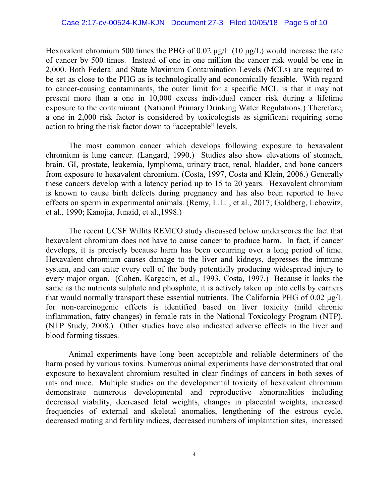Hexavalent chromium 500 times the PHG of 0.02  $\mu$ g/L (10  $\mu$ g/L) would increase the rate of cancer by 500 times. Instead of one in one million the cancer risk would be one in 2,000. Both Federal and State Maximum Contamination Levels (MCLs) are required to be set as close to the PHG as is technologically and economically feasible. With regard to cancer-causing contaminants, the outer limit for a specific MCL is that it may not present more than a one in 10,000 excess individual cancer risk during a lifetime exposure to the contaminant. (National Primary Drinking Water Regulations.) Therefore, a one in 2,000 risk factor is considered by toxicologists as significant requiring some action to bring the risk factor down to "acceptable" levels.

The most common cancer which develops following exposure to hexavalent chromium is lung cancer. (Langard, 1990.) Studies also show elevations of stomach, brain, GI, prostate, leukemia, lymphoma, urinary tract, renal, bladder, and bone cancers from exposure to hexavalent chromium. (Costa, 1997, Costa and Klein, 2006.) Generally these cancers develop with a latency period up to 15 to 20 years. Hexavalent chromium is known to cause birth defects during pregnancy and has also been reported to have effects on sperm in experimental animals. (Remy, L.L. , et al., 2017; Goldberg, Lebowitz, et al., 1990; Kanojia, Junaid, et al.,1998.)

The recent UCSF Willits REMCO study discussed below underscores the fact that hexavalent chromium does not have to cause cancer to produce harm. In fact, if cancer develops, it is precisely because harm has been occurring over a long period of time. Hexavalent chromium causes damage to the liver and kidneys, depresses the immune system, and can enter every cell of the body potentially producing widespread injury to every major organ. (Cohen, Kargacin, et al., 1993, Costa, 1997.) Because it looks the same as the nutrients sulphate and phosphate, it is actively taken up into cells by carriers that would normally transport these essential nutrients. The California PHG of  $0.02 \mu g/L$ for non-carcinogenic effects is identified based on liver toxicity (mild chronic inflammation, fatty changes) in female rats in the National Toxicology Program (NTP). (NTP Study, 2008.) Other studies have also indicated adverse effects in the liver and blood forming tissues.

Animal experiments have long been acceptable and reliable determiners of the harm posed by various toxins. Numerous animal experiments have demonstrated that oral exposure to hexavalent chromium resulted in clear findings of cancers in both sexes of rats and mice. Multiple studies on the developmental toxicity of hexavalent chromium demonstrate numerous developmental and reproductive abnormalities including decreased viability, decreased fetal weights, changes in placental weights, increased frequencies of external and skeletal anomalies, lengthening of the estrous cycle, decreased mating and fertility indices, decreased numbers of implantation sites, increased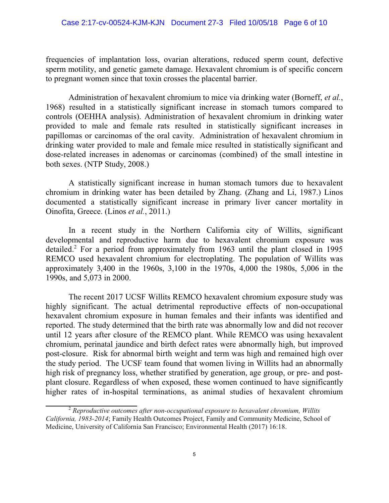frequencies of implantation loss, ovarian alterations, reduced sperm count, defective sperm motility, and genetic gamete damage. Hexavalent chromium is of specific concern to pregnant women since that toxin crosses the placental barrier.

Administration of hexavalent chromium to mice via drinking water (Borneff, *et al.*, 1968) resulted in a statistically significant increase in stomach tumors compared to controls (OEHHA analysis). Administration of hexavalent chromium in drinking water provided to male and female rats resulted in statistically significant increases in papillomas or carcinomas of the oral cavity. Administration of hexavalent chromium in drinking water provided to male and female mice resulted in statistically significant and dose-related increases in adenomas or carcinomas (combined) of the small intestine in both sexes. (NTP Study, 2008.)

A statistically significant increase in human stomach tumors due to hexavalent chromium in drinking water has been detailed by Zhang. (Zhang and Li, 1987.) Linos documented a statistically significant increase in primary liver cancer mortality in Oinofita, Greece. (Linos *et al.*, 2011.)

In a recent study in the Northern California city of Willits, significant developmental and reproductive harm due to hexavalent chromium exposure was detailed. <sup>2</sup> For a period from approximately from 1963 until the plant closed in 1995 REMCO used hexavalent chromium for electroplating. The population of Willits was approximately 3,400 in the 1960s, 3,100 in the 1970s, 4,000 the 1980s, 5,006 in the 1990s, and 5,073 in 2000.

The recent 2017 UCSF Willits REMCO hexavalent chromium exposure study was highly significant. The actual detrimental reproductive effects of non-occupational hexavalent chromium exposure in human females and their infants was identified and reported. The study determined that the birth rate was abnormally low and did not recover until 12 years after closure of the REMCO plant. While REMCO was using hexavalent chromium, perinatal jaundice and birth defect rates were abnormally high, but improved post-closure. Risk for abnormal birth weight and term was high and remained high over the study period. The UCSF team found that women living in Willits had an abnormally high risk of pregnancy loss, whether stratified by generation, age group, or pre- and postplant closure. Regardless of when exposed, these women continued to have significantly higher rates of in-hospital terminations, as animal studies of hexavalent chromium

<sup>2</sup> *Reproductive outcomes after non-occupational exposure to hexavalent chromium, Willits California, 1983-2014*; Family Health Outcomes Project, Family and Community Medicine, School of Medicine, University of California San Francisco; Environmental Health (2017) 16:18.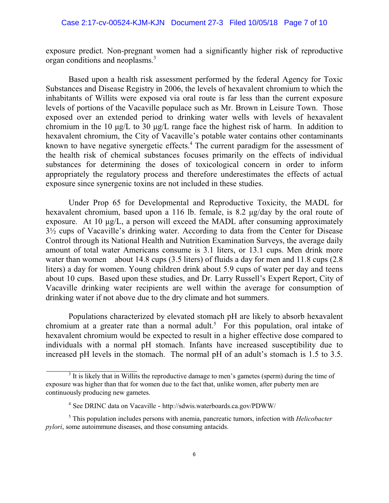exposure predict. Non-pregnant women had a significantly higher risk of reproductive organ conditions and neoplasms.<sup>3</sup>

Based upon a health risk assessment performed by the federal Agency for Toxic Substances and Disease Registry in 2006, the levels of hexavalent chromium to which the inhabitants of Willits were exposed via oral route is far less than the current exposure levels of portions of the Vacaville populace such as Mr. Brown in Leisure Town. Those exposed over an extended period to drinking water wells with levels of hexavalent chromium in the 10  $\mu$ g/L to 30  $\mu$ g/L range face the highest risk of harm. In addition to hexavalent chromium, the City of Vacaville's potable water contains other contaminants known to have negative synergetic effects.<sup>4</sup> The current paradigm for the assessment of the health risk of chemical substances focuses primarily on the effects of individual substances for determining the doses of toxicological concern in order to inform appropriately the regulatory process and therefore underestimates the effects of actual exposure since synergenic toxins are not included in these studies.

Under Prop 65 for Developmental and Reproductive Toxicity, the MADL for hexavalent chromium, based upon a 116 lb. female, is 8.2  $\mu$ g/day by the oral route of exposure. At 10  $\mu$ g/L, a person will exceed the MADL after consuming approximately 3½ cups of Vacaville's drinking water. According to data from the Center for Disease Control through its National Health and Nutrition Examination Surveys, the average daily amount of total water Americans consume is 3.1 liters, or 13.1 cups. Men drink more water than women about 14.8 cups (3.5 liters) of fluids a day for men and 11.8 cups (2.8 liters) a day for women. Young children drink about 5.9 cups of water per day and teens about 10 cups. Based upon these studies, and Dr. Larry Russell's Expert Report, City of Vacaville drinking water recipients are well within the average for consumption of drinking water if not above due to the dry climate and hot summers.

Populations characterized by elevated stomach pH are likely to absorb hexavalent chromium at a greater rate than a normal adult.<sup>5</sup> For this population, oral intake of hexavalent chromium would be expected to result in a higher effective dose compared to individuals with a normal pH stomach. Infants have increased susceptibility due to increased pH levels in the stomach. The normal pH of an adult's stomach is 1.5 to 3.5.

 $3$  It is likely that in Willits the reproductive damage to men's gametes (sperm) during the time of exposure was higher than that for women due to the fact that, unlike women, after puberty men are continuously producing new gametes.

<sup>&</sup>lt;sup>4</sup> See DRINC data on Vacaville - http://sdwis.waterboards.ca.gov/PDWW/

<sup>5</sup> This population includes persons with anemia, pancreatic tumors, infection with *Helicobacter pylori*, some autoimmune diseases, and those consuming antacids.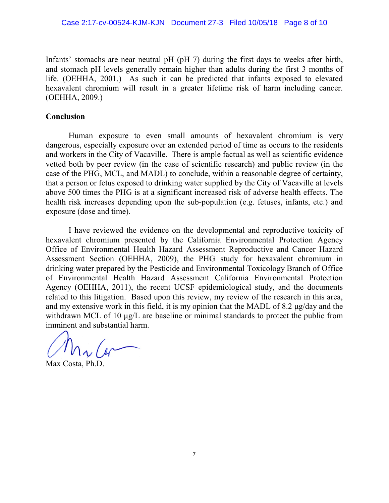Infants' stomachs are near neutral pH (pH 7) during the first days to weeks after birth, and stomach pH levels generally remain higher than adults during the first 3 months of life. (OEHHA, 2001.) As such it can be predicted that infants exposed to elevated hexavalent chromium will result in a greater lifetime risk of harm including cancer. (OEHHA, 2009.)

### **Conclusion**

Human exposure to even small amounts of hexavalent chromium is very dangerous, especially exposure over an extended period of time as occurs to the residents and workers in the City of Vacaville. There is ample factual as well as scientific evidence vetted both by peer review (in the case of scientific research) and public review (in the case of the PHG, MCL, and MADL) to conclude, within a reasonable degree of certainty, that a person or fetus exposed to drinking water supplied by the City of Vacaville at levels above 500 times the PHG is at a significant increased risk of adverse health effects. The health risk increases depending upon the sub-population (e.g. fetuses, infants, etc.) and exposure (dose and time).

I have reviewed the evidence on the developmental and reproductive toxicity of hexavalent chromium presented by the California Environmental Protection Agency Office of Environmental Health Hazard Assessment Reproductive and Cancer Hazard Assessment Section (OEHHA, 2009), the PHG study for hexavalent chromium in drinking water prepared by the Pesticide and Environmental Toxicology Branch of Office of Environmental Health Hazard Assessment California Environmental Protection Agency (OEHHA, 2011), the recent UCSF epidemiological study, and the documents related to this litigation. Based upon this review, my review of the research in this area, and my extensive work in this field, it is my opinion that the MADL of 8.2  $\mu$ g/day and the withdrawn MCL of 10  $\mu$ g/L are baseline or minimal standards to protect the public from imminent and substantial harm.

Max Costa, Ph.D.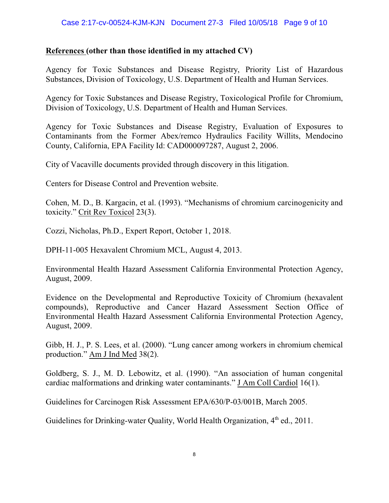## **References (other than those identified in my attached CV)**

Agency for Toxic Substances and Disease Registry, Priority List of Hazardous Substances, Division of Toxicology, U.S. Department of Health and Human Services.

Agency for Toxic Substances and Disease Registry, Toxicological Profile for Chromium, Division of Toxicology, U.S. Department of Health and Human Services.

Agency for Toxic Substances and Disease Registry, Evaluation of Exposures to Contaminants from the Former Abex/remco Hydraulics Facility Willits, Mendocino County, California, EPA Facility Id: CAD000097287, August 2, 2006.

City of Vacaville documents provided through discovery in this litigation.

Centers for Disease Control and Prevention website.

Cohen, M. D., B. Kargacin, et al. (1993). "Mechanisms of chromium carcinogenicity and toxicity." Crit Rev Toxicol 23(3).

Cozzi, Nicholas, Ph.D., Expert Report, October 1, 2018.

DPH-11-005 Hexavalent Chromium MCL, August 4, 2013.

Environmental Health Hazard Assessment California Environmental Protection Agency, August, 2009.

Evidence on the Developmental and Reproductive Toxicity of Chromium (hexavalent compounds), Reproductive and Cancer Hazard Assessment Section Office of Environmental Health Hazard Assessment California Environmental Protection Agency, August, 2009.

Gibb, H. J., P. S. Lees, et al. (2000). "Lung cancer among workers in chromium chemical production." Am J Ind Med 38(2).

Goldberg, S. J., M. D. Lebowitz, et al. (1990). "An association of human congenital cardiac malformations and drinking water contaminants." J Am Coll Cardiol 16(1).

Guidelines for Carcinogen Risk Assessment EPA/630/P-03/001B, March 2005.

Guidelines for Drinking-water Quality, World Health Organization, 4<sup>th</sup> ed., 2011.